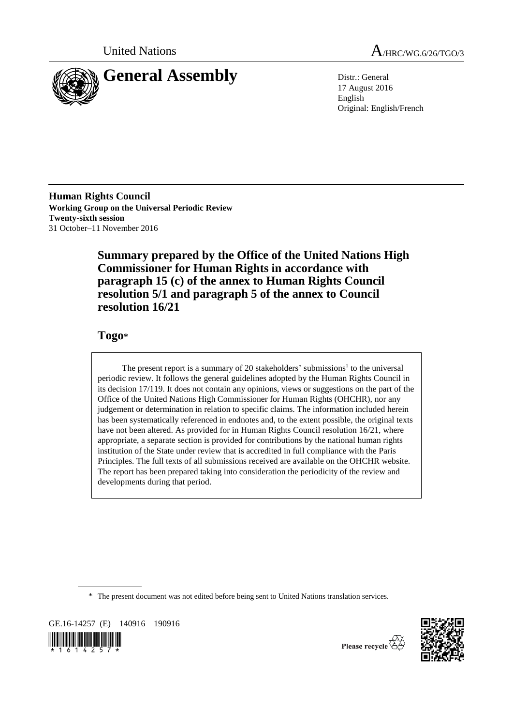



17 August 2016 English Original: English/French

**Human Rights Council Working Group on the Universal Periodic Review Twenty-sixth session** 31 October–11 November 2016

> **Summary prepared by the Office of the United Nations High Commissioner for Human Rights in accordance with paragraph 15 (c) of the annex to Human Rights Council resolution 5/1 and paragraph 5 of the annex to Council resolution 16/21**

# **Togo\***

The present report is a summary of 20 stakeholders' submissions<sup>1</sup> to the universal periodic review. It follows the general guidelines adopted by the Human Rights Council in its decision 17/119. It does not contain any opinions, views or suggestions on the part of the Office of the United Nations High Commissioner for Human Rights (OHCHR), nor any judgement or determination in relation to specific claims. The information included herein has been systematically referenced in endnotes and, to the extent possible, the original texts have not been altered. As provided for in Human Rights Council resolution 16/21, where appropriate, a separate section is provided for contributions by the national human rights institution of the State under review that is accredited in full compliance with the Paris Principles. The full texts of all submissions received are available on the OHCHR website. The report has been prepared taking into consideration the periodicity of the review and developments during that period.

\* The present document was not edited before being sent to United Nations translation services.

GE.16-14257 (E) 140916 190916





Please recycle  $\overleftrightarrow{C}$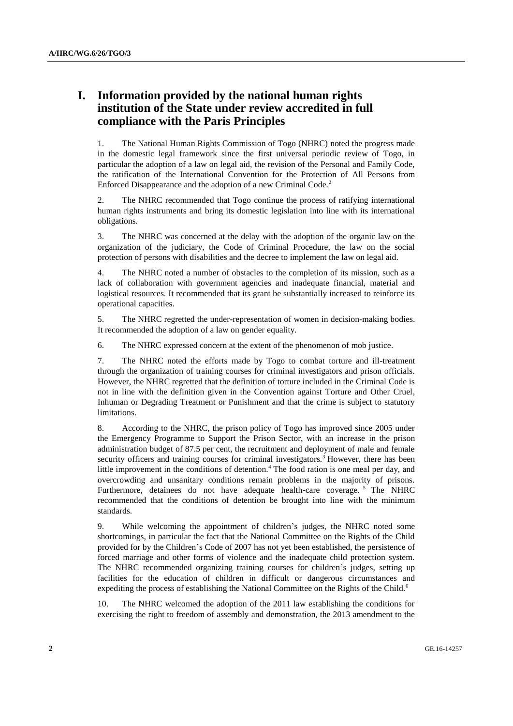# **I. Information provided by the national human rights institution of the State under review accredited in full compliance with the Paris Principles**

1. The National Human Rights Commission of Togo (NHRC) noted the progress made in the domestic legal framework since the first universal periodic review of Togo, in particular the adoption of a law on legal aid, the revision of the Personal and Family Code, the ratification of the International Convention for the Protection of All Persons from Enforced Disappearance and the adoption of a new Criminal Code.<sup>2</sup>

2. The NHRC recommended that Togo continue the process of ratifying international human rights instruments and bring its domestic legislation into line with its international obligations.

3. The NHRC was concerned at the delay with the adoption of the organic law on the organization of the judiciary, the Code of Criminal Procedure, the law on the social protection of persons with disabilities and the decree to implement the law on legal aid.

4. The NHRC noted a number of obstacles to the completion of its mission, such as a lack of collaboration with government agencies and inadequate financial, material and logistical resources. It recommended that its grant be substantially increased to reinforce its operational capacities.

5. The NHRC regretted the under-representation of women in decision-making bodies. It recommended the adoption of a law on gender equality.

6. The NHRC expressed concern at the extent of the phenomenon of mob justice.

7. The NHRC noted the efforts made by Togo to combat torture and ill-treatment through the organization of training courses for criminal investigators and prison officials. However, the NHRC regretted that the definition of torture included in the Criminal Code is not in line with the definition given in the Convention against Torture and Other Cruel, Inhuman or Degrading Treatment or Punishment and that the crime is subject to statutory limitations.

8. According to the NHRC, the prison policy of Togo has improved since 2005 under the Emergency Programme to Support the Prison Sector, with an increase in the prison administration budget of 87.5 per cent, the recruitment and deployment of male and female security officers and training courses for criminal investigators.<sup>3</sup> However, there has been little improvement in the conditions of detention.<sup>4</sup> The food ration is one meal per day, and overcrowding and unsanitary conditions remain problems in the majority of prisons. Furthermore, detainees do not have adequate health-care coverage.<sup>5</sup> The NHRC recommended that the conditions of detention be brought into line with the minimum standards.

9. While welcoming the appointment of children's judges, the NHRC noted some shortcomings, in particular the fact that the National Committee on the Rights of the Child provided for by the Children's Code of 2007 has not yet been established, the persistence of forced marriage and other forms of violence and the inadequate child protection system. The NHRC recommended organizing training courses for children's judges, setting up facilities for the education of children in difficult or dangerous circumstances and expediting the process of establishing the National Committee on the Rights of the Child.<sup>6</sup>

10. The NHRC welcomed the adoption of the 2011 law establishing the conditions for exercising the right to freedom of assembly and demonstration, the 2013 amendment to the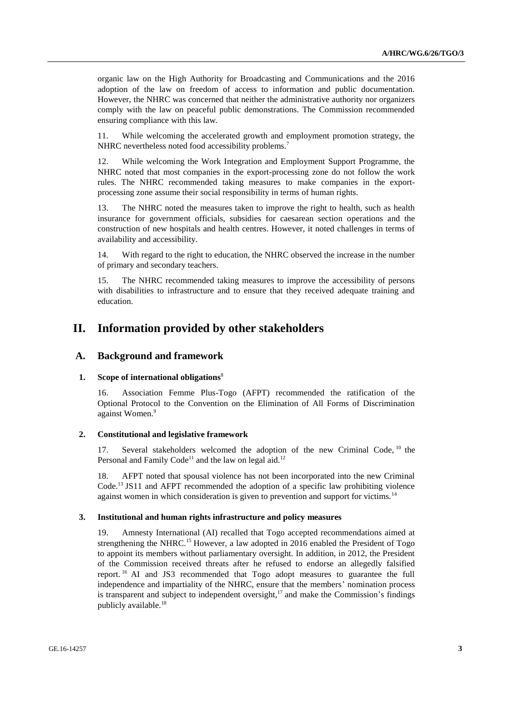organic law on the High Authority for Broadcasting and Communications and the 2016 adoption of the law on freedom of access to information and public documentation. However, the NHRC was concerned that neither the administrative authority nor organizers comply with the law on peaceful public demonstrations. The Commission recommended ensuring compliance with this law.

11. While welcoming the accelerated growth and employment promotion strategy, the NHRC nevertheless noted food accessibility problems.<sup>7</sup>

12. While welcoming the Work Integration and Employment Support Programme, the NHRC noted that most companies in the export-processing zone do not follow the work rules. The NHRC recommended taking measures to make companies in the exportprocessing zone assume their social responsibility in terms of human rights.

13. The NHRC noted the measures taken to improve the right to health, such as health insurance for government officials, subsidies for caesarean section operations and the construction of new hospitals and health centres. However, it noted challenges in terms of availability and accessibility.

14. With regard to the right to education, the NHRC observed the increase in the number of primary and secondary teachers.

15. The NHRC recommended taking measures to improve the accessibility of persons with disabilities to infrastructure and to ensure that they received adequate training and education.

## **II. Information provided by other stakeholders**

## **A. Background and framework**

#### **1. Scope of international obligations**<sup>8</sup>

16. Association Femme Plus-Togo (AFPT) recommended the ratification of the Optional Protocol to the Convention on the Elimination of All Forms of Discrimination against Women.<sup>9</sup>

#### **2. Constitutional and legislative framework**

17. Several stakeholders welcomed the adoption of the new Criminal Code, <sup>10</sup> the Personal and Family Code<sup>11</sup> and the law on legal aid.<sup>12</sup>

18. AFPT noted that spousal violence has not been incorporated into the new Criminal Code.<sup>13</sup> JS11 and AFPT recommended the adoption of a specific law prohibiting violence against women in which consideration is given to prevention and support for victims.<sup>14</sup>

#### **3. Institutional and human rights infrastructure and policy measures**

19. Amnesty International (AI) recalled that Togo accepted recommendations aimed at strengthening the NHRC.<sup>15</sup> However, a law adopted in 2016 enabled the President of Togo to appoint its members without parliamentary oversight. In addition, in 2012, the President of the Commission received threats after he refused to endorse an allegedly falsified report. <sup>16</sup> AI and JS3 recommended that Togo adopt measures to guarantee the full independence and impartiality of the NHRC, ensure that the members' nomination process is transparent and subject to independent oversight, $17$  and make the Commission's findings publicly available.<sup>18</sup>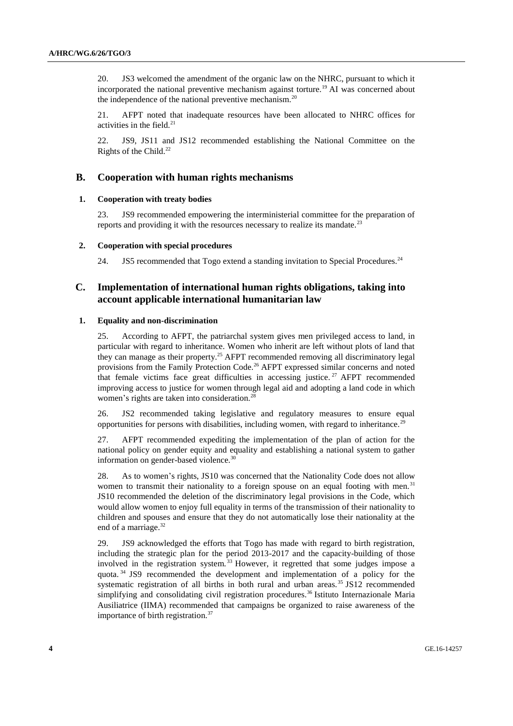20. JS3 welcomed the amendment of the organic law on the NHRC, pursuant to which it incorporated the national preventive mechanism against torture.<sup>19</sup> AI was concerned about the independence of the national preventive mechanism.<sup>20</sup>

21. AFPT noted that inadequate resources have been allocated to NHRC offices for activities in the field.<sup>21</sup>

22. JS9, JS11 and JS12 recommended establishing the National Committee on the Rights of the Child.<sup>22</sup>

## **B. Cooperation with human rights mechanisms**

#### **1. Cooperation with treaty bodies**

23. JS9 recommended empowering the interministerial committee for the preparation of reports and providing it with the resources necessary to realize its mandate.<sup>23</sup>

#### **2. Cooperation with special procedures**

24. JS5 recommended that Togo extend a standing invitation to Special Procedures.<sup>24</sup>

## **C. Implementation of international human rights obligations, taking into account applicable international humanitarian law**

#### **1. Equality and non-discrimination**

25. According to AFPT, the patriarchal system gives men privileged access to land, in particular with regard to inheritance. Women who inherit are left without plots of land that they can manage as their property.<sup>25</sup> AFPT recommended removing all discriminatory legal provisions from the Family Protection Code.<sup>26</sup> AFPT expressed similar concerns and noted that female victims face great difficulties in accessing justice.<sup>27</sup> AFPT recommended improving access to justice for women through legal aid and adopting a land code in which women's rights are taken into consideration.<sup>28</sup>

26. JS2 recommended taking legislative and regulatory measures to ensure equal opportunities for persons with disabilities, including women, with regard to inheritance.<sup>29</sup>

27. AFPT recommended expediting the implementation of the plan of action for the national policy on gender equity and equality and establishing a national system to gather information on gender-based violence.<sup>30</sup>

28. As to women's rights, JS10 was concerned that the Nationality Code does not allow women to transmit their nationality to a foreign spouse on an equal footing with men.<sup>31</sup> JS10 recommended the deletion of the discriminatory legal provisions in the Code, which would allow women to enjoy full equality in terms of the transmission of their nationality to children and spouses and ensure that they do not automatically lose their nationality at the end of a marriage.<sup>32</sup>

29. JS9 acknowledged the efforts that Togo has made with regard to birth registration, including the strategic plan for the period 2013-2017 and the capacity-building of those involved in the registration system.<sup>33</sup> However, it regretted that some judges impose a quota. <sup>34</sup> JS9 recommended the development and implementation of a policy for the systematic registration of all births in both rural and urban areas.<sup>35</sup> JS12 recommended simplifying and consolidating civil registration procedures.<sup>36</sup> Istituto Internazionale Maria Ausiliatrice (IIMA) recommended that campaigns be organized to raise awareness of the importance of birth registration.<sup>37</sup>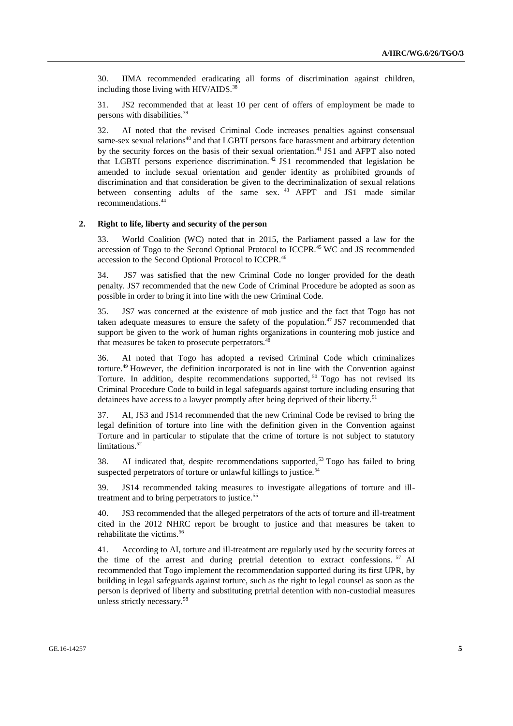30. IIMA recommended eradicating all forms of discrimination against children, including those living with  $HIV/ALDS$ .<sup>38</sup>

31. JS2 recommended that at least 10 per cent of offers of employment be made to persons with disabilities.<sup>39</sup>

32. AI noted that the revised Criminal Code increases penalties against consensual same-sex sexual relations<sup>40</sup> and that LGBTI persons face harassment and arbitrary detention by the security forces on the basis of their sexual orientation.<sup>41</sup> JS1 and AFPT also noted that LGBTI persons experience discrimination. <sup>42</sup> JS1 recommended that legislation be amended to include sexual orientation and gender identity as prohibited grounds of discrimination and that consideration be given to the decriminalization of sexual relations between consenting adults of the same sex. <sup>43</sup> AFPT and JS1 made similar recommendations.<sup>44</sup>

#### **2. Right to life, liberty and security of the person**

33. World Coalition (WC) noted that in 2015, the Parliament passed a law for the accession of Togo to the Second Optional Protocol to ICCPR.<sup>45</sup> WC and JS recommended accession to the Second Optional Protocol to ICCPR.<sup>46</sup>

34. JS7 was satisfied that the new Criminal Code no longer provided for the death penalty. JS7 recommended that the new Code of Criminal Procedure be adopted as soon as possible in order to bring it into line with the new Criminal Code.

35. JS7 was concerned at the existence of mob justice and the fact that Togo has not taken adequate measures to ensure the safety of the population.<sup>47</sup> JS7 recommended that support be given to the work of human rights organizations in countering mob justice and that measures be taken to prosecute perpetrators.<sup>48</sup>

36. AI noted that Togo has adopted a revised Criminal Code which criminalizes torture.<sup>49</sup> However, the definition incorporated is not in line with the Convention against Torture. In addition, despite recommendations supported, <sup>50</sup> Togo has not revised its Criminal Procedure Code to build in legal safeguards against torture including ensuring that detainees have access to a lawyer promptly after being deprived of their liberty.<sup>51</sup>

37. AI, JS3 and JS14 recommended that the new Criminal Code be revised to bring the legal definition of torture into line with the definition given in the Convention against Torture and in particular to stipulate that the crime of torture is not subject to statutory limitations.<sup>52</sup>

38. AI indicated that, despite recommendations supported,<sup>53</sup> Togo has failed to bring suspected perpetrators of torture or unlawful killings to justice.<sup>54</sup>

39. JS14 recommended taking measures to investigate allegations of torture and illtreatment and to bring perpetrators to justice.<sup>55</sup>

40. JS3 recommended that the alleged perpetrators of the acts of torture and ill-treatment cited in the 2012 NHRC report be brought to justice and that measures be taken to rehabilitate the victims.<sup>56</sup>

41. According to AI, torture and ill-treatment are regularly used by the security forces at the time of the arrest and during pretrial detention to extract confessions. <sup>57</sup> AI recommended that Togo implement the recommendation supported during its first UPR, by building in legal safeguards against torture, such as the right to legal counsel as soon as the person is deprived of liberty and substituting pretrial detention with non-custodial measures unless strictly necessary.58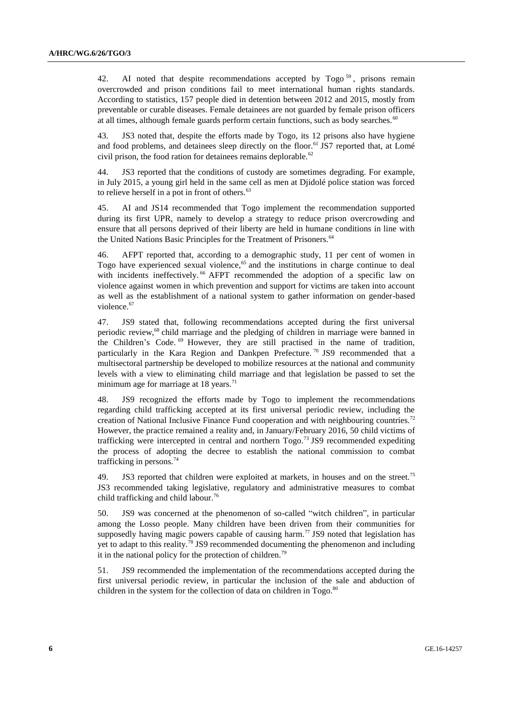42. AI noted that despite recommendations accepted by Togo<sup>59</sup>, prisons remain overcrowded and prison conditions fail to meet international human rights standards. According to statistics, 157 people died in detention between 2012 and 2015, mostly from preventable or curable diseases. Female detainees are not guarded by female prison officers at all times, although female guards perform certain functions, such as body searches.<sup>60</sup>

43. JS3 noted that, despite the efforts made by Togo, its 12 prisons also have hygiene and food problems, and detainees sleep directly on the floor.<sup>61</sup> JS7 reported that, at Lomé civil prison, the food ration for detainees remains deplorable. $62$ 

44. JS3 reported that the conditions of custody are sometimes degrading. For example, in July 2015, a young girl held in the same cell as men at Djidolé police station was forced to relieve herself in a pot in front of others.<sup>63</sup>

45. AI and JS14 recommended that Togo implement the recommendation supported during its first UPR, namely to develop a strategy to reduce prison overcrowding and ensure that all persons deprived of their liberty are held in humane conditions in line with the United Nations Basic Principles for the Treatment of Prisoners.<sup>64</sup>

46. AFPT reported that, according to a demographic study, 11 per cent of women in Togo have experienced sexual violence, $65$  and the institutions in charge continue to deal with incidents ineffectively.<sup>66</sup> AFPT recommended the adoption of a specific law on violence against women in which prevention and support for victims are taken into account as well as the establishment of a national system to gather information on gender-based violence.<sup>67</sup>

47. JS9 stated that, following recommendations accepted during the first universal periodic review,<sup>68</sup> child marriage and the pledging of children in marriage were banned in the Children's Code. <sup>69</sup> However, they are still practised in the name of tradition, particularly in the Kara Region and Dankpen Prefecture.<sup>70</sup> JS9 recommended that a multisectoral partnership be developed to mobilize resources at the national and community levels with a view to eliminating child marriage and that legislation be passed to set the minimum age for marriage at  $18$  years.<sup>71</sup>

48. JS9 recognized the efforts made by Togo to implement the recommendations regarding child trafficking accepted at its first universal periodic review, including the creation of National Inclusive Finance Fund cooperation and with neighbouring countries.<sup>72</sup> However, the practice remained a reality and, in January/February 2016, 50 child victims of trafficking were intercepted in central and northern  $Togo$ .<sup>73</sup> JS9 recommended expediting the process of adopting the decree to establish the national commission to combat trafficking in persons.<sup>74</sup>

49. JS3 reported that children were exploited at markets, in houses and on the street.<sup>75</sup> JS3 recommended taking legislative, regulatory and administrative measures to combat child trafficking and child labour.<sup>76</sup>

50. JS9 was concerned at the phenomenon of so-called "witch children", in particular among the Losso people. Many children have been driven from their communities for supposedly having magic powers capable of causing harm.<sup>77</sup> JS9 noted that legislation has yet to adapt to this reality.<sup>78</sup> JS9 recommended documenting the phenomenon and including it in the national policy for the protection of children.<sup>79</sup>

51. JS9 recommended the implementation of the recommendations accepted during the first universal periodic review, in particular the inclusion of the sale and abduction of children in the system for the collection of data on children in Togo.<sup>80</sup>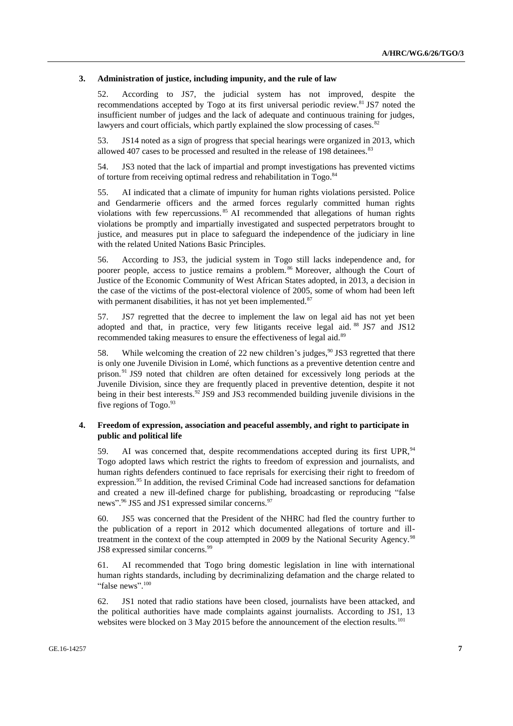#### **3. Administration of justice, including impunity, and the rule of law**

52. According to JS7, the judicial system has not improved, despite the recommendations accepted by Togo at its first universal periodic review.<sup>81</sup> JS7 noted the insufficient number of judges and the lack of adequate and continuous training for judges, lawyers and court officials, which partly explained the slow processing of cases. $82$ 

53. JS14 noted as a sign of progress that special hearings were organized in 2013, which allowed 407 cases to be processed and resulted in the release of 198 detainees. $83$ 

54. JS3 noted that the lack of impartial and prompt investigations has prevented victims of torture from receiving optimal redress and rehabilitation in Togo.<sup>84</sup>

55. AI indicated that a climate of impunity for human rights violations persisted. Police and Gendarmerie officers and the armed forces regularly committed human rights violations with few repercussions. <sup>85</sup> AI recommended that allegations of human rights violations be promptly and impartially investigated and suspected perpetrators brought to justice, and measures put in place to safeguard the independence of the judiciary in line with the related United Nations Basic Principles.

56. According to JS3, the judicial system in Togo still lacks independence and, for poorer people, access to justice remains a problem.<sup>86</sup> Moreover, although the Court of Justice of the Economic Community of West African States adopted, in 2013, a decision in the case of the victims of the post-electoral violence of 2005, some of whom had been left with permanent disabilities, it has not yet been implemented.<sup>87</sup>

57. JS7 regretted that the decree to implement the law on legal aid has not yet been adopted and that, in practice, very few litigants receive legal aid. <sup>88</sup> JS7 and JS12 recommended taking measures to ensure the effectiveness of legal aid.<sup>89</sup>

58. While welcoming the creation of 22 new children's judges,  $90$  JS3 regretted that there is only one Juvenile Division in Lomé, which functions as a preventive detention centre and prison.<sup>91</sup> JS9 noted that children are often detained for excessively long periods at the Juvenile Division, since they are frequently placed in preventive detention, despite it not being in their best interests.<sup>92</sup> JS9 and JS3 recommended building juvenile divisions in the five regions of  $Togo.<sup>93</sup>$ 

## **4. Freedom of expression, association and peaceful assembly, and right to participate in public and political life**

59. AI was concerned that, despite recommendations accepted during its first UPR, <sup>94</sup> Togo adopted laws which restrict the rights to freedom of expression and journalists, and human rights defenders continued to face reprisals for exercising their right to freedom of expression.<sup>95</sup> In addition, the revised Criminal Code had increased sanctions for defamation and created a new ill-defined charge for publishing, broadcasting or reproducing "false news".<sup>96</sup> JS5 and JS1 expressed similar concerns.<sup>97</sup>

60. JS5 was concerned that the President of the NHRC had fled the country further to the publication of a report in 2012 which documented allegations of torture and illtreatment in the context of the coup attempted in 2009 by the National Security Agency.<sup>98</sup> JS8 expressed similar concerns.<sup>99</sup>

61. AI recommended that Togo bring domestic legislation in line with international human rights standards, including by decriminalizing defamation and the charge related to "false news".<sup>100</sup>

62. JS1 noted that radio stations have been closed, journalists have been attacked, and the political authorities have made complaints against journalists. According to JS1, 13 websites were blocked on 3 May 2015 before the announcement of the election results.<sup>101</sup>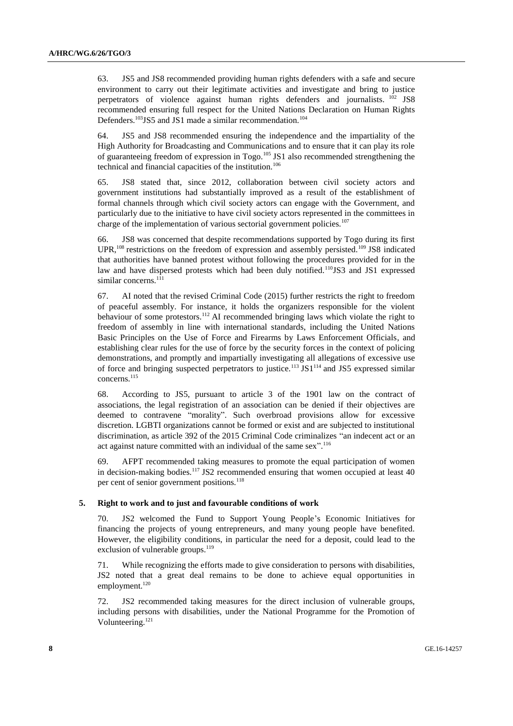63. JS5 and JS8 recommended providing human rights defenders with a safe and secure environment to carry out their legitimate activities and investigate and bring to justice perpetrators of violence against human rights defenders and journalists. <sup>102</sup> JS8 recommended ensuring full respect for the United Nations Declaration on Human Rights Defenders.<sup>103</sup>JS5 and JS1 made a similar recommendation.<sup>104</sup>

64. JS5 and JS8 recommended ensuring the independence and the impartiality of the High Authority for Broadcasting and Communications and to ensure that it can play its role of guaranteeing freedom of expression in Togo.<sup>105</sup> JS1 also recommended strengthening the technical and financial capacities of the institution.<sup>106</sup>

65. JS8 stated that, since 2012, collaboration between civil society actors and government institutions had substantially improved as a result of the establishment of formal channels through which civil society actors can engage with the Government, and particularly due to the initiative to have civil society actors represented in the committees in charge of the implementation of various sectorial government policies.<sup>107</sup>

66. JS8 was concerned that despite recommendations supported by Togo during its first UPR,<sup>108</sup> restrictions on the freedom of expression and assembly persisted.<sup>109</sup> JS8 indicated that authorities have banned protest without following the procedures provided for in the law and have dispersed protests which had been duly notified.<sup>110</sup>JS3 and JS1 expressed similar concerns.<sup>111</sup>

67. AI noted that the revised Criminal Code (2015) further restricts the right to freedom of peaceful assembly. For instance, it holds the organizers responsible for the violent behaviour of some protestors.<sup>112</sup> AI recommended bringing laws which violate the right to freedom of assembly in line with international standards, including the United Nations Basic Principles on the Use of Force and Firearms by Laws Enforcement Officials, and establishing clear rules for the use of force by the security forces in the context of policing demonstrations, and promptly and impartially investigating all allegations of excessive use of force and bringing suspected perpetrators to justice.<sup>113</sup> JS1<sup>114</sup> and JS5 expressed similar concerns.<sup>115</sup>

68. According to JS5, pursuant to article 3 of the 1901 law on the contract of associations, the legal registration of an association can be denied if their objectives are deemed to contravene "morality". Such overbroad provisions allow for excessive discretion. LGBTI organizations cannot be formed or exist and are subjected to institutional discrimination, as article 392 of the 2015 Criminal Code criminalizes "an indecent act or an act against nature committed with an individual of the same sex".<sup>116</sup>

69. AFPT recommended taking measures to promote the equal participation of women in decision-making bodies.<sup>117</sup> JS2 recommended ensuring that women occupied at least 40 per cent of senior government positions.<sup>118</sup>

#### **5. Right to work and to just and favourable conditions of work**

70. JS2 welcomed the Fund to Support Young People's Economic Initiatives for financing the projects of young entrepreneurs, and many young people have benefited. However, the eligibility conditions, in particular the need for a deposit, could lead to the exclusion of vulnerable groups. $^{119}$ 

71. While recognizing the efforts made to give consideration to persons with disabilities, JS2 noted that a great deal remains to be done to achieve equal opportunities in employment.<sup>120</sup>

72. JS2 recommended taking measures for the direct inclusion of vulnerable groups, including persons with disabilities, under the National Programme for the Promotion of Volunteering.<sup>121</sup>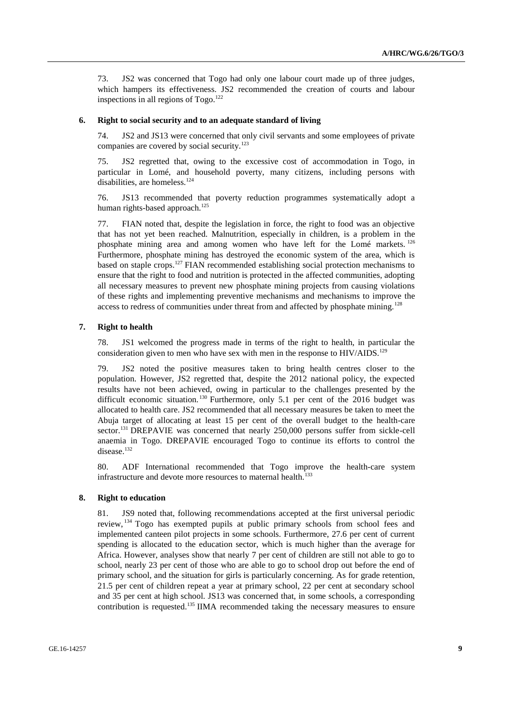73. JS2 was concerned that Togo had only one labour court made up of three judges, which hampers its effectiveness. JS2 recommended the creation of courts and labour inspections in all regions of  $Togo.<sup>122</sup>$ 

#### **6. Right to social security and to an adequate standard of living**

74. JS2 and JS13 were concerned that only civil servants and some employees of private companies are covered by social security.<sup>123</sup>

75. JS2 regretted that, owing to the excessive cost of accommodation in Togo, in particular in Lomé, and household poverty, many citizens, including persons with disabilities, are homeless.<sup>124</sup>

76. JS13 recommended that poverty reduction programmes systematically adopt a human rights-based approach.<sup>125</sup>

77. FIAN noted that, despite the legislation in force, the right to food was an objective that has not yet been reached. Malnutrition, especially in children, is a problem in the phosphate mining area and among women who have left for the Lomé markets.  $^{126}$ Furthermore, phosphate mining has destroyed the economic system of the area, which is based on staple crops.<sup>127</sup> FIAN recommended establishing social protection mechanisms to ensure that the right to food and nutrition is protected in the affected communities, adopting all necessary measures to prevent new phosphate mining projects from causing violations of these rights and implementing preventive mechanisms and mechanisms to improve the access to redress of communities under threat from and affected by phosphate mining.<sup>128</sup>

## **7. Right to health**

78. JS1 welcomed the progress made in terms of the right to health, in particular the consideration given to men who have sex with men in the response to  $HIV/ALDS$ .<sup>129</sup>

79. JS2 noted the positive measures taken to bring health centres closer to the population. However, JS2 regretted that, despite the 2012 national policy, the expected results have not been achieved, owing in particular to the challenges presented by the difficult economic situation.<sup>130</sup> Furthermore, only 5.1 per cent of the 2016 budget was allocated to health care. JS2 recommended that all necessary measures be taken to meet the Abuja target of allocating at least 15 per cent of the overall budget to the health-care sector.<sup>131</sup> DREPAVIE was concerned that nearly 250,000 persons suffer from sickle-cell anaemia in Togo. DREPAVIE encouraged Togo to continue its efforts to control the disease.<sup>132</sup>

80. ADF International recommended that Togo improve the health-care system infrastructure and devote more resources to maternal health.<sup>133</sup>

#### **8. Right to education**

81. JS9 noted that, following recommendations accepted at the first universal periodic review, <sup>134</sup> Togo has exempted pupils at public primary schools from school fees and implemented canteen pilot projects in some schools. Furthermore, 27.6 per cent of current spending is allocated to the education sector, which is much higher than the average for Africa. However, analyses show that nearly 7 per cent of children are still not able to go to school, nearly 23 per cent of those who are able to go to school drop out before the end of primary school, and the situation for girls is particularly concerning. As for grade retention, 21.5 per cent of children repeat a year at primary school, 22 per cent at secondary school and 35 per cent at high school. JS13 was concerned that, in some schools, a corresponding contribution is requested.<sup>135</sup> IIMA recommended taking the necessary measures to ensure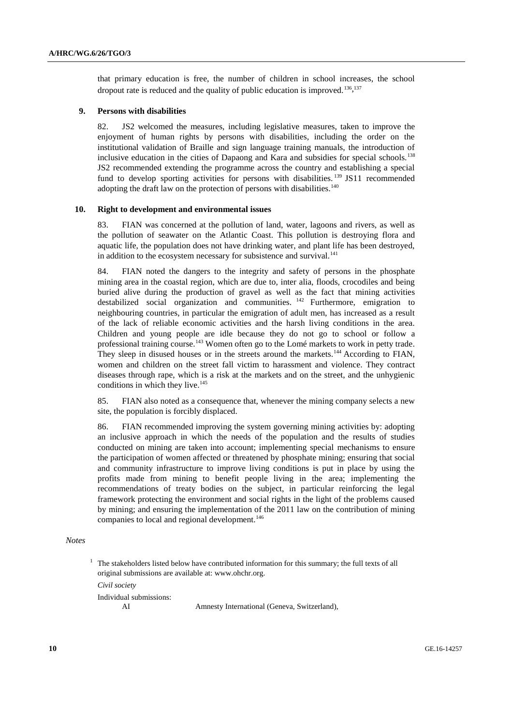that primary education is free, the number of children in school increases, the school dropout rate is reduced and the quality of public education is improved.<sup>136,137</sup>

#### **9. Persons with disabilities**

82. JS2 welcomed the measures, including legislative measures, taken to improve the enjoyment of human rights by persons with disabilities, including the order on the institutional validation of Braille and sign language training manuals, the introduction of inclusive education in the cities of Dapaong and Kara and subsidies for special schools.<sup>138</sup> JS2 recommended extending the programme across the country and establishing a special fund to develop sporting activities for persons with disabilities.<sup>139</sup> JS11 recommended adopting the draft law on the protection of persons with disabilities. $140$ 

#### **10. Right to development and environmental issues**

83. FIAN was concerned at the pollution of land, water, lagoons and rivers, as well as the pollution of seawater on the Atlantic Coast. This pollution is destroying flora and aquatic life, the population does not have drinking water, and plant life has been destroyed, in addition to the ecosystem necessary for subsistence and survival.<sup>141</sup>

84. FIAN noted the dangers to the integrity and safety of persons in the phosphate mining area in the coastal region, which are due to, inter alia, floods, crocodiles and being buried alive during the production of gravel as well as the fact that mining activities destabilized social organization and communities. <sup>142</sup> Furthermore, emigration to neighbouring countries, in particular the emigration of adult men, has increased as a result of the lack of reliable economic activities and the harsh living conditions in the area. Children and young people are idle because they do not go to school or follow a professional training course.<sup>143</sup> Women often go to the Lomé markets to work in petty trade. They sleep in disused houses or in the streets around the markets.<sup>144</sup> According to FIAN, women and children on the street fall victim to harassment and violence. They contract diseases through rape, which is a risk at the markets and on the street, and the unhygienic conditions in which they live.<sup>145</sup>

85. FIAN also noted as a consequence that, whenever the mining company selects a new site, the population is forcibly displaced.

86. FIAN recommended improving the system governing mining activities by: adopting an inclusive approach in which the needs of the population and the results of studies conducted on mining are taken into account; implementing special mechanisms to ensure the participation of women affected or threatened by phosphate mining; ensuring that social and community infrastructure to improve living conditions is put in place by using the profits made from mining to benefit people living in the area; implementing the recommendations of treaty bodies on the subject, in particular reinforcing the legal framework protecting the environment and social rights in the light of the problems caused by mining; and ensuring the implementation of the 2011 law on the contribution of mining companies to local and regional development.<sup>146</sup>

*Notes*

*Civil society*

Individual submissions:

AI Amnesty International (Geneva, Switzerland),

<sup>1</sup> The stakeholders listed below have contributed information for this summary; the full texts of all original submissions are available at: [www.ohchr.org.](http://www.ohchr.org/)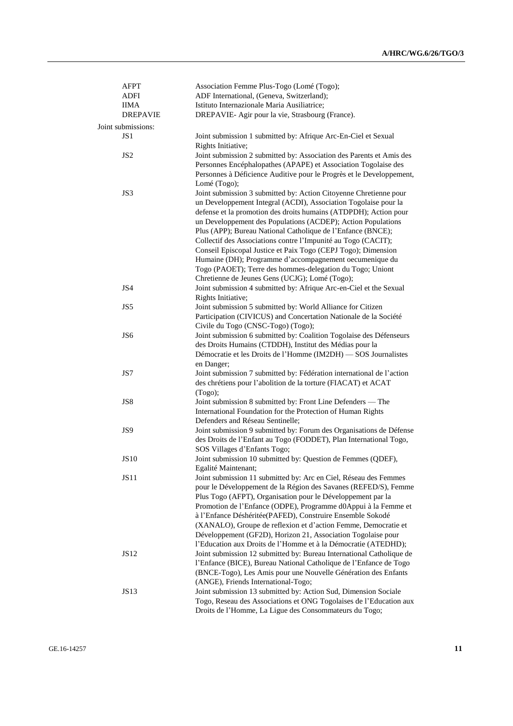| AFPT<br>ADFI                   | Association Femme Plus-Togo (Lomé (Togo);<br>ADF International, (Geneva, Switzerland);                                                                                                                                                                                                                                                                                                                                                                                                                                                |
|--------------------------------|---------------------------------------------------------------------------------------------------------------------------------------------------------------------------------------------------------------------------------------------------------------------------------------------------------------------------------------------------------------------------------------------------------------------------------------------------------------------------------------------------------------------------------------|
| <b>IIMA</b><br><b>DREPAVIE</b> | Istituto Internazionale Maria Ausiliatrice;<br>DREPAVIE- Agir pour la vie, Strasbourg (France).                                                                                                                                                                                                                                                                                                                                                                                                                                       |
| Joint submissions:             |                                                                                                                                                                                                                                                                                                                                                                                                                                                                                                                                       |
| JS1                            | Joint submission 1 submitted by: Afrique Arc-En-Ciel et Sexual                                                                                                                                                                                                                                                                                                                                                                                                                                                                        |
| JS <sub>2</sub>                | Rights Initiative;<br>Joint submission 2 submitted by: Association des Parents et Amis des                                                                                                                                                                                                                                                                                                                                                                                                                                            |
|                                | Personnes Encéphalopathes (APAPE) et Association Togolaise des<br>Personnes à Déficience Auditive pour le Progrès et le Developpement,<br>Lomé (Togo);                                                                                                                                                                                                                                                                                                                                                                                |
| JS3                            | Joint submission 3 submitted by: Action Citoyenne Chretienne pour<br>un Developpement Integral (ACDI), Association Togolaise pour la<br>defense et la promotion des droits humains (ATDPDH); Action pour<br>un Developpement des Populations (ACDEP); Action Populations<br>Plus (APP); Bureau National Catholique de l'Enfance (BNCE);<br>Collectif des Associations contre l'Impunité au Togo (CACIT);<br>Conseil Episcopal Justice et Paix Togo (CEPJ Togo); Dimension<br>Humaine (DH); Programme d'accompagnement oecumenique du  |
|                                | Togo (PAOET); Terre des hommes-delegation du Togo; Uniont<br>Chretienne de Jeunes Gens (UCJG); Lomé (Togo);                                                                                                                                                                                                                                                                                                                                                                                                                           |
| JS4                            | Joint submission 4 submitted by: Afrique Arc-en-Ciel et the Sexual<br>Rights Initiative;                                                                                                                                                                                                                                                                                                                                                                                                                                              |
| JS5                            | Joint submission 5 submitted by: World Alliance for Citizen<br>Participation (CIVICUS) and Concertation Nationale de la Société<br>Civile du Togo (CNSC-Togo) (Togo);                                                                                                                                                                                                                                                                                                                                                                 |
| JS <sub>6</sub>                | Joint submission 6 submitted by: Coalition Togolaise des Défenseurs<br>des Droits Humains (CTDDH), Institut des Médias pour la<br>Démocratie et les Droits de l'Homme (IM2DH) — SOS Journalistes                                                                                                                                                                                                                                                                                                                                      |
| JS7                            | en Danger;<br>Joint submission 7 submitted by: Fédération international de l'action<br>des chrétiens pour l'abolition de la torture (FIACAT) et ACAT<br>(Togo);                                                                                                                                                                                                                                                                                                                                                                       |
| JS8                            | Joint submission 8 submitted by: Front Line Defenders - The<br>International Foundation for the Protection of Human Rights<br>Defenders and Réseau Sentinelle;                                                                                                                                                                                                                                                                                                                                                                        |
| JS9                            | Joint submission 9 submitted by: Forum des Organisations de Défense<br>des Droits de l'Enfant au Togo (FODDET), Plan International Togo,                                                                                                                                                                                                                                                                                                                                                                                              |
| <b>JS10</b>                    | SOS Villages d'Enfants Togo;<br>Joint submission 10 submitted by: Question de Femmes (QDEF),<br>Egalité Maintenant;                                                                                                                                                                                                                                                                                                                                                                                                                   |
| JS11                           | Joint submission 11 submitted by: Arc en Ciel, Réseau des Femmes<br>pour le Développement de la Région des Savanes (REFED/S), Femme<br>Plus Togo (AFPT), Organisation pour le Développement par la<br>Promotion de l'Enfance (ODPE), Programme d0Appui à la Femme et<br>à l'Enfance Déshéritée(PAFED), Construire Ensemble Sokodé<br>(XANALO), Groupe de reflexion et d'action Femme, Democratie et<br>Développement (GF2D), Horizon 21, Association Togolaise pour<br>l'Education aux Droits de l'Homme et à la Démocratie (ATEDHD); |
| JS12                           | Joint submission 12 submitted by: Bureau International Catholique de<br>l'Enfance (BICE), Bureau National Catholique de l'Enfance de Togo<br>(BNCE-Togo), Les Amis pour une Nouvelle Génération des Enfants<br>(ANGE), Friends International-Togo;                                                                                                                                                                                                                                                                                    |
| <b>JS13</b>                    | Joint submission 13 submitted by: Action Sud, Dimension Sociale<br>Togo, Reseau des Associations et ONG Togolaises de l'Education aux<br>Droits de l'Homme, La Ligue des Consommateurs du Togo;                                                                                                                                                                                                                                                                                                                                       |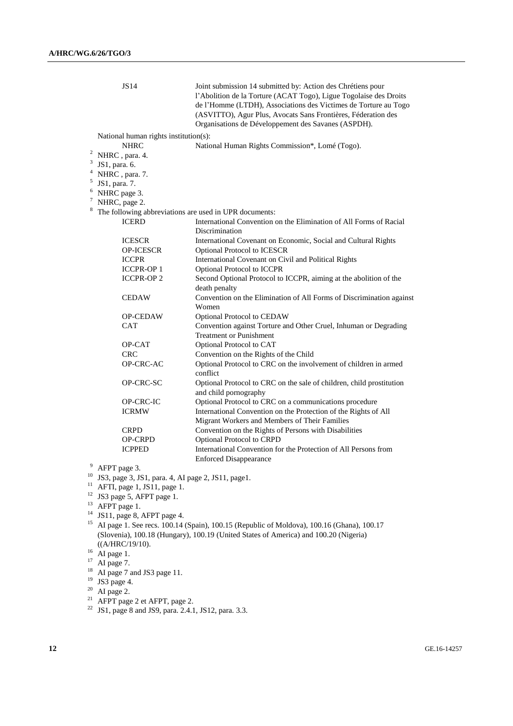|                           | JS14                                               | Joint submission 14 submitted by: Action des Chrétiens pour<br>l'Abolition de la Torture (ACAT Togo), Ligue Togolaise des Droits<br>de l'Homme (LTDH), Associations des Victimes de Torture au Togo<br>(ASVITTO), Agur Plus, Avocats Sans Frontières, Féderation des<br>Organisations de Développement des Savanes (ASPDH). |
|---------------------------|----------------------------------------------------|-----------------------------------------------------------------------------------------------------------------------------------------------------------------------------------------------------------------------------------------------------------------------------------------------------------------------------|
|                           | National human rights institution(s):              |                                                                                                                                                                                                                                                                                                                             |
|                           | <b>NHRC</b>                                        | National Human Rights Commission*, Lomé (Togo).                                                                                                                                                                                                                                                                             |
| 2                         | NHRC, para. 4.                                     |                                                                                                                                                                                                                                                                                                                             |
| $\ensuremath{\mathsf{3}}$ | JS1, para. 6.                                      |                                                                                                                                                                                                                                                                                                                             |
| $\overline{4}$            | NHRC, para. 7.                                     |                                                                                                                                                                                                                                                                                                                             |
| 5                         | JS1, para. 7.                                      |                                                                                                                                                                                                                                                                                                                             |
| 6                         | NHRC page 3.                                       |                                                                                                                                                                                                                                                                                                                             |
| $\tau$                    | NHRC, page 2.                                      |                                                                                                                                                                                                                                                                                                                             |
| 8                         |                                                    | The following abbreviations are used in UPR documents:                                                                                                                                                                                                                                                                      |
|                           | <b>ICERD</b>                                       | International Convention on the Elimination of All Forms of Racial                                                                                                                                                                                                                                                          |
|                           |                                                    | Discrimination                                                                                                                                                                                                                                                                                                              |
|                           | <b>ICESCR</b>                                      | International Covenant on Economic, Social and Cultural Rights                                                                                                                                                                                                                                                              |
|                           | <b>OP-ICESCR</b>                                   | <b>Optional Protocol to ICESCR</b>                                                                                                                                                                                                                                                                                          |
|                           | <b>ICCPR</b>                                       | International Covenant on Civil and Political Rights                                                                                                                                                                                                                                                                        |
|                           | <b>ICCPR-OP1</b>                                   | Optional Protocol to ICCPR                                                                                                                                                                                                                                                                                                  |
|                           | <b>ICCPR-OP2</b>                                   | Second Optional Protocol to ICCPR, aiming at the abolition of the                                                                                                                                                                                                                                                           |
|                           |                                                    | death penalty                                                                                                                                                                                                                                                                                                               |
|                           | <b>CEDAW</b>                                       | Convention on the Elimination of All Forms of Discrimination against                                                                                                                                                                                                                                                        |
|                           |                                                    | Women                                                                                                                                                                                                                                                                                                                       |
|                           | <b>OP-CEDAW</b>                                    | Optional Protocol to CEDAW                                                                                                                                                                                                                                                                                                  |
|                           | <b>CAT</b>                                         | Convention against Torture and Other Cruel, Inhuman or Degrading                                                                                                                                                                                                                                                            |
|                           |                                                    | <b>Treatment or Punishment</b>                                                                                                                                                                                                                                                                                              |
|                           | OP-CAT                                             | Optional Protocol to CAT                                                                                                                                                                                                                                                                                                    |
|                           | <b>CRC</b>                                         | Convention on the Rights of the Child                                                                                                                                                                                                                                                                                       |
|                           | OP-CRC-AC                                          | Optional Protocol to CRC on the involvement of children in armed                                                                                                                                                                                                                                                            |
|                           |                                                    | conflict                                                                                                                                                                                                                                                                                                                    |
|                           | OP-CRC-SC                                          | Optional Protocol to CRC on the sale of children, child prostitution                                                                                                                                                                                                                                                        |
|                           |                                                    | and child pornography                                                                                                                                                                                                                                                                                                       |
|                           | OP-CRC-IC                                          | Optional Protocol to CRC on a communications procedure                                                                                                                                                                                                                                                                      |
|                           | <b>ICRMW</b>                                       | International Convention on the Protection of the Rights of All                                                                                                                                                                                                                                                             |
|                           |                                                    | Migrant Workers and Members of Their Families                                                                                                                                                                                                                                                                               |
|                           | <b>CRPD</b>                                        | Convention on the Rights of Persons with Disabilities                                                                                                                                                                                                                                                                       |
|                           | <b>OP-CRPD</b>                                     | <b>Optional Protocol to CRPD</b>                                                                                                                                                                                                                                                                                            |
|                           | <b>ICPPED</b>                                      | International Convention for the Protection of All Persons from                                                                                                                                                                                                                                                             |
|                           |                                                    | <b>Enforced Disappearance</b>                                                                                                                                                                                                                                                                                               |
| 9                         | AFPT page 3.                                       |                                                                                                                                                                                                                                                                                                                             |
| 10                        | JS3, page 3, JS1, para. 4, AI page 2, JS11, page1. |                                                                                                                                                                                                                                                                                                                             |
| $\frac{11}{2}$            | AFTI, page 1, JS11, page 1.                        |                                                                                                                                                                                                                                                                                                                             |
| 12                        | JS3 page 5, AFPT page 1.                           |                                                                                                                                                                                                                                                                                                                             |
|                           |                                                    |                                                                                                                                                                                                                                                                                                                             |

- 
- <sup>13</sup> AFPT page 1.
- $14$  JS11, page 8, AFPT page 4.
- <sup>15</sup> AI page 1. See recs. 100.14 (Spain), 100.15 (Republic of Moldova), 100.16 (Ghana), 100.17 (Slovenia), 100.18 (Hungary), 100.19 (United States of America) and 100.20 (Nigeria) ((A/HRC/19/10).

- <sup>18</sup> AI page 7 and JS3 page 11.
- $19$  JS3 page 4.
- $20$  AI page 2.
- $21$  AFPT page 2 et AFPT, page 2.
- $22$  JS1, page 8 and JS9, para. 2.4.1, JS12, para. 3.3.

 $16$  AI page 1.

 $17$  AI page 7.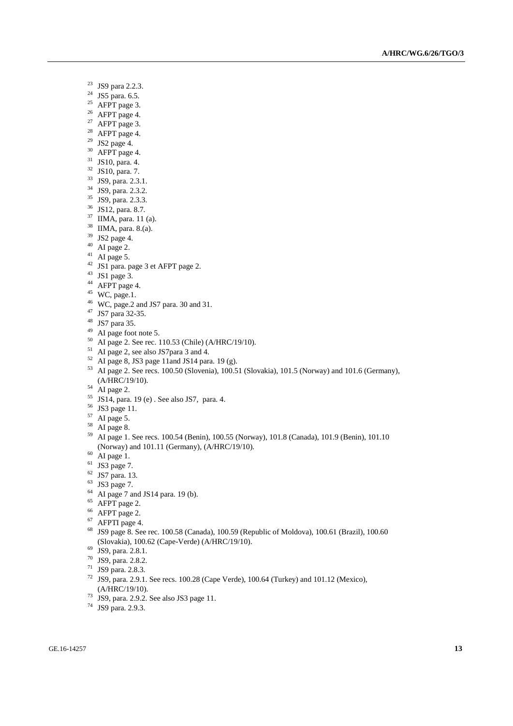- <sup>23</sup> JS9 para 2.2.3.
- <sup>24</sup> JS5 para. 6.5.
- AFPT page 3.
- AFPT page 4.
- <sup>27</sup> AFPT page 3.
- AFPT page 4.
- JS2 page 4.
- AFPT page 4.
- JS10, para. 4.
- JS10, para. 7.
- JS9, para. 2.3.1.
- JS9, para. 2.3.2.
- JS9, para. 2.3.3.
- JS12, para. 8.7.
- IIMA, para. 11 (a).
- IIMA, para. 8.(a).
- JS2 page 4.
- AI page 2.
- AI page 5.
- JS1 para. page 3 et AFPT page 2.
- JS1 page 3.
- AFPT page 4.
- WC, page.1.
- WC, page.2 and JS7 para. 30 and 31.
- JS7 para 32-35.
- JS7 para 35.
- $^{49}$  AI page foot note 5.
- AI page 2. See rec. 110.53 (Chile) (A/HRC/19/10).
- <sup>51</sup> AI page 2, see also JS7para 3 and 4.
- AI page 8, JS3 page 11and JS14 para. 19 (g).
- AI page 2. See recs. 100.50 (Slovenia), 100.51 (Slovakia), 101.5 (Norway) and 101.6 (Germany), (A/HRC/19/10).
- AI page 2.
- JS14, para. 19 (e) . See also JS7, para. 4.
- JS3 page 11.
- AI page 5.
- AI page 8.
- AI page 1. See recs. 100.54 (Benin), 100.55 (Norway), 101.8 (Canada), 101.9 (Benin), 101.10 (Norway) and 101.11 (Germany), (A/HRC/19/10).
- AI page 1.
- JS3 page 7.
- JS7 para. 13.
- JS3 page 7.
- AI page 7 and JS14 para. 19 (b).
- AFPT page 2.
- AFPT page 2.
- AFPTI page 4.
- JS9 page 8. See rec. 100.58 (Canada), 100.59 (Republic of Moldova), 100.61 (Brazil), 100.60 (Slovakia), 100.62 (Cape-Verde) (A/HRC/19/10).
- JS9, para. 2.8.1.
- JS9, para. 2.8.2.
- JS9 para. 2.8.3.
- <sup>72</sup> JS9, para. 2.9.1. See recs. 100.28 (Cape Verde), 100.64 (Turkey) and 101.12 (Mexico), (A/HRC/19/10).
- <sup>73</sup> JS9, para. 2.9.2. See also JS3 page 11.
- JS9 para. 2.9.3.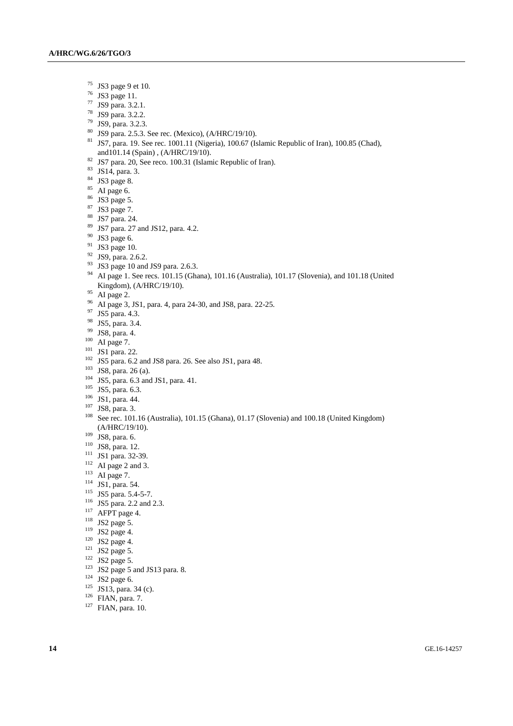- JS3 page 9 et 10.
- JS3 page 11.
- JS9 para. 3.2.1.
- JS9 para. 3.2.2.
- JS9, para. 3.2.3.
- JS9 para. 2.5.3. See rec. (Mexico), (A/HRC/19/10).
- JS7, para. 19. See rec. 1001.11 (Nigeria), 100.67 (Islamic Republic of Iran), 100.85 (Chad), and101.14 (Spain) , (A/HRC/19/10).
- <sup>82</sup> JS7 para. 20, See reco. 100.31 (Islamic Republic of Iran).
- JS14, para. 3.
- JS3 page 8.
- AI page 6.
- JS3 page 5.
- JS3 page 7.
- $\frac{88}{89}$  JS7 para. 24.
- JS7 para. 27 and JS12, para. 4.2.
- JS3 page 6.
- JS3 page 10.
- JS9, para. 2.6.2.
- <sup>93</sup> JS3 page 10 and JS9 para. 2.6.3.
- <sup>94</sup> AI page 1. See recs. 101.15 (Ghana), 101.16 (Australia), 101.17 (Slovenia), and 101.18 (United Kingdom), (A/HRC/19/10).
- AI page 2.
- AI page 3, JS1, para. 4, para 24-30, and JS8, para. 22-25.
- <sup>97</sup> JS5 para. 4.3.
- JS5, para. 3.4.
- JS8, para. 4.
- AI page 7.
- JS1 para. 22.
- JS5 para. 6.2 and JS8 para. 26. See also JS1, para 48.
- JS8, para. 26 (a).
- JS5, para. 6.3 and JS1, para. 41.
- <sup>105</sup> JS5, para. 6.3.
- JS1, para. 44.
- JS8, para. 3.
- See rec. 101.16 (Australia), 101.15 (Ghana), 01.17 (Slovenia) and 100.18 (United Kingdom) (A/HRC/19/10).
- JS8, para. 6.
- JS8, para. 12.
- <sup>111</sup> JS1 para. 32-39.
- AI page 2 and 3.
- $^{113}$  AI page 7.
- <sup>114</sup> JS1, para. 54.
- <sup>115</sup> JS5 para. 5.4-5-7.
- <sup>116</sup> JS5 para. 2.2 and 2.3.
- <sup>117</sup> AFPT page 4.
- <sup>118</sup> JS2 page 5.
- <sup>119</sup> JS2 page 4.
- <sup>120</sup> JS2 page 4.
- JS2 page 5.
- JS2 page 5.
- JS2 page 5 and JS13 para. 8.
- JS2 page 6.
- JS13, para. 34 (c).
- FIAN, para. 7.
- <sup>127</sup> FIAN, para. 10.